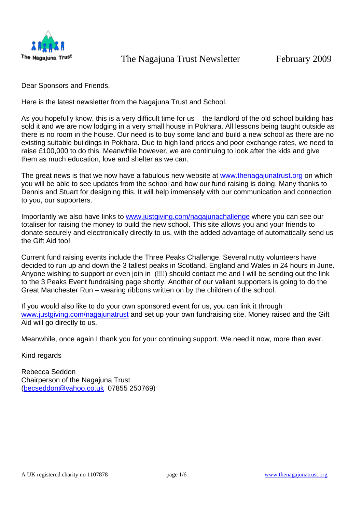

Dear Sponsors and Friends,

Here is the latest newsletter from the Nagajuna Trust and School.

As you hopefully know, this is a very difficult time for us – the landlord of the old school building has sold it and we are now lodging in a very small house in Pokhara. All lessons being taught outside as there is no room in the house. Our need is to buy some land and build a new school as there are no existing suitable buildings in Pokhara. Due to high land prices and poor exchange rates, we need to raise £100,000 to do this. Meanwhile however, we are continuing to look after the kids and give them as much education, love and shelter as we can.

The great news is that we now have a fabulous new website at www.thenagajunatrust.org on which you will be able to see updates from the school and how our fund raising is doing. Many thanks to Dennis and Stuart for designing this. It will help immensely with our communication and connection to you, our supporters.

Importantly we also have links to www.justgiving.com/nagajunachallenge where you can see our totaliser for raising the money to build the new school. This site allows you and your friends to donate securely and electronically directly to us, with the added advantage of automatically send us the Gift Aid too!

Current fund raising events include the Three Peaks Challenge. Several nutty volunteers have decided to run up and down the 3 tallest peaks in Scotland, England and Wales in 24 hours in June. Anyone wishing to support or even join in (!!!!) should contact me and I will be sending out the link to the 3 Peaks Event fundraising page shortly. Another of our valiant supporters is going to do the Great Manchester Run – wearing ribbons written on by the children of the school.

If you would also like to do your own sponsored event for us, you can link it through www.justgiving.com/nagajunatrust and set up your own fundraising site. Money raised and the Gift Aid will go directly to us.

Meanwhile, once again I thank you for your continuing support. We need it now, more than ever.

Kind regards

Rebecca Seddon Chairperson of the Nagajuna Trust (becseddon@yahoo.co.uk 07855 250769)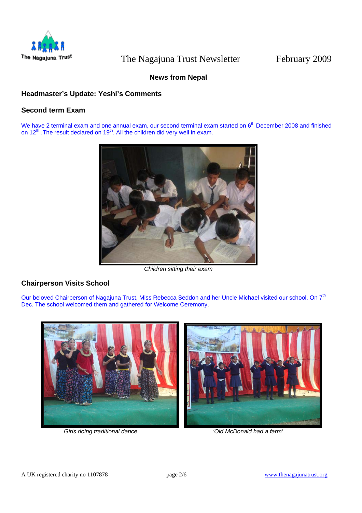

# **News from Nepal**

# **Headmaster's Update: Yeshi's Comments**

# **Second term Exam**

We have 2 terminal exam and one annual exam, our second terminal exam started on 6<sup>th</sup> December 2008 and finished on  $12^{th}$ . The result declared on  $19^{th}$ . All the children did very well in exam.



*Children sitting their exam* 

# **Chairperson Visits School**

Our beloved Chairperson of Nagajuna Trust, Miss Rebecca Seddon and her Uncle Michael visited our school. On 7<sup>th</sup> Dec. The school welcomed them and gathered for Welcome Ceremony.



*Girls doing traditional dance 'Old McDonald had a farm'*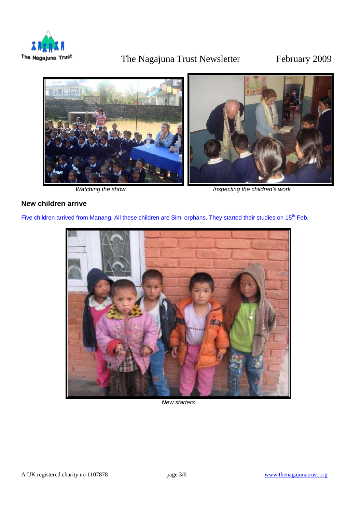

# The Nagajuna Trust Newsletter February 2009



*Watching the show Inspecting the children's work* 

## **New children arrive**

Five children arrived from Manang. All these children are Simi orphans. They started their studies on 15<sup>th</sup> Feb.



*New starters*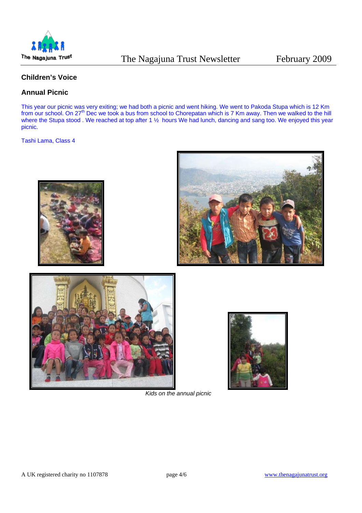

# **Children's Voice**

# **Annual Picnic**

This year our picnic was very exiting; we had both a picnic and went hiking. We went to Pakoda Stupa which is 12 Km from our school. On 27<sup>th</sup> Dec we took a bus from school to Chorepatan which is 7 Km away. Then we walked to the hill where the Stupa stood . We reached at top after 1 % hours We had lunch, dancing and sang too. We enjoyed this year picnic.

Tashi Lama, Class 4







*Kids on the annual picnic*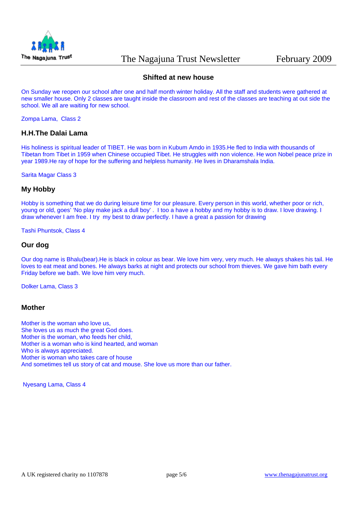

# **Shifted at new house**

On Sunday we reopen our school after one and half month winter holiday. All the staff and students were gathered at new smaller house. Only 2 classes are taught inside the classroom and rest of the classes are teaching at out side the school. We all are waiting for new school.

Zompa Lama, Class 2

### **H.H.The Dalai Lama**

His holiness is spiritual leader of TIBET. He was born in Kubum Amdo in 1935.He fled to India with thousands of Tibetan from Tibet in 1959 when Chinese occupied Tibet. He struggles with non violence. He won Nobel peace prize in year 1989.He ray of hope for the suffering and helpless humanity. He lives in Dharamshala India.

Sarita Magar Class 3

#### **My Hobby**

Hobby is something that we do during leisure time for our pleasure. Every person in this world, whether poor or rich, young or old, goes' 'No play make jack a dull boy' . I too a have a hobby and my hobby is to draw. I love drawing. I draw whenever I am free. I try my best to draw perfectly. I have a great a passion for drawing

Tashi Phuntsok, Class 4

### **Our dog**

Our dog name is Bhalu(bear).He is black in colour as bear. We love him very, very much. He always shakes his tail. He loves to eat meat and bones. He always barks at night and protects our school from thieves. We gave him bath every Friday before we bath. We love him very much.

Dolker Lama, Class 3

#### **Mother**

Mother is the woman who love us, She loves us as much the great God does. Mother is the woman, who feeds her child, Mother is a woman who is kind hearted, and woman Who is always appreciated. Mother is woman who takes care of house And sometimes tell us story of cat and mouse. She love us more than our father.

Nyesang Lama, Class 4